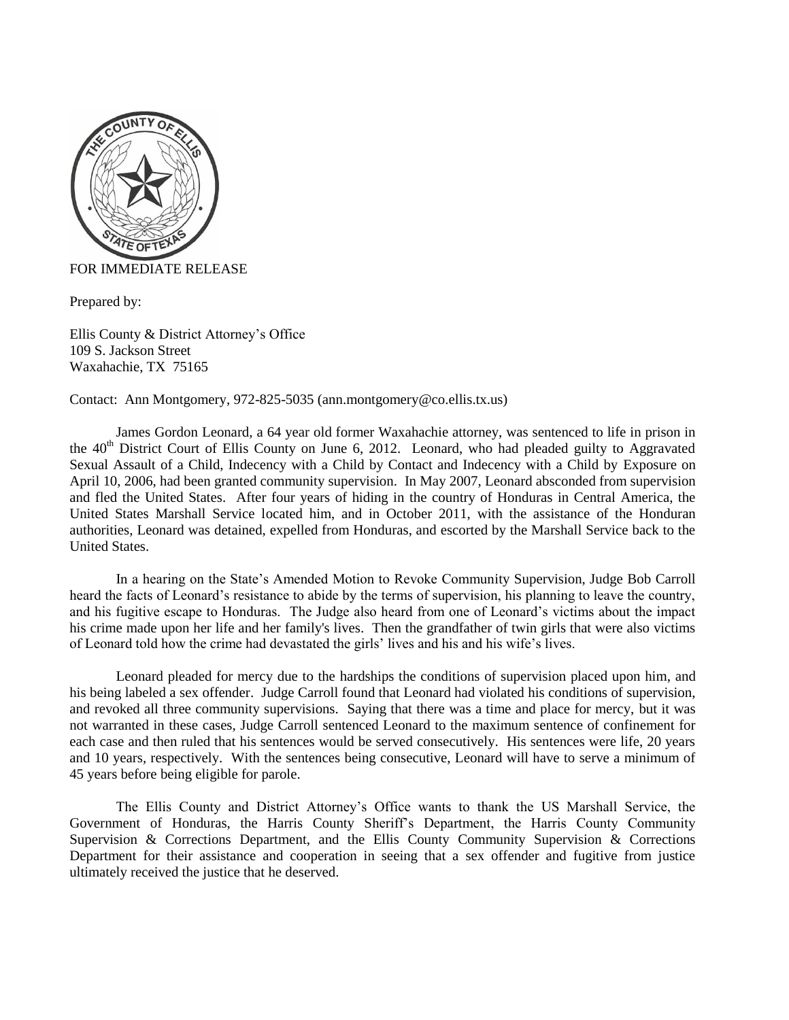

## FOR IMMEDIATE RELEASE

Prepared by:

Ellis County & District Attorney's Office 109 S. Jackson Street Waxahachie, TX 75165

Contact: Ann Montgomery, 972-825-5035 (ann.montgomery@co.ellis.tx.us)

James Gordon Leonard, a 64 year old former Waxahachie attorney, was sentenced to life in prison in the 40<sup>th</sup> District Court of Ellis County on June 6, 2012. Leonard, who had pleaded guilty to Aggravated Sexual Assault of a Child, Indecency with a Child by Contact and Indecency with a Child by Exposure on April 10, 2006, had been granted community supervision. In May 2007, Leonard absconded from supervision and fled the United States. After four years of hiding in the country of Honduras in Central America, the United States Marshall Service located him, and in October 2011, with the assistance of the Honduran authorities, Leonard was detained, expelled from Honduras, and escorted by the Marshall Service back to the United States.

In a hearing on the State's Amended Motion to Revoke Community Supervision, Judge Bob Carroll heard the facts of Leonard's resistance to abide by the terms of supervision, his planning to leave the country, and his fugitive escape to Honduras. The Judge also heard from one of Leonard's victims about the impact his crime made upon her life and her family's lives. Then the grandfather of twin girls that were also victims of Leonard told how the crime had devastated the girls' lives and his and his wife's lives.

Leonard pleaded for mercy due to the hardships the conditions of supervision placed upon him, and his being labeled a sex offender. Judge Carroll found that Leonard had violated his conditions of supervision, and revoked all three community supervisions. Saying that there was a time and place for mercy, but it was not warranted in these cases, Judge Carroll sentenced Leonard to the maximum sentence of confinement for each case and then ruled that his sentences would be served consecutively. His sentences were life, 20 years and 10 years, respectively. With the sentences being consecutive, Leonard will have to serve a minimum of 45 years before being eligible for parole.

The Ellis County and District Attorney's Office wants to thank the US Marshall Service, the Government of Honduras, the Harris County Sheriff's Department, the Harris County Community Supervision & Corrections Department, and the Ellis County Community Supervision & Corrections Department for their assistance and cooperation in seeing that a sex offender and fugitive from justice ultimately received the justice that he deserved.